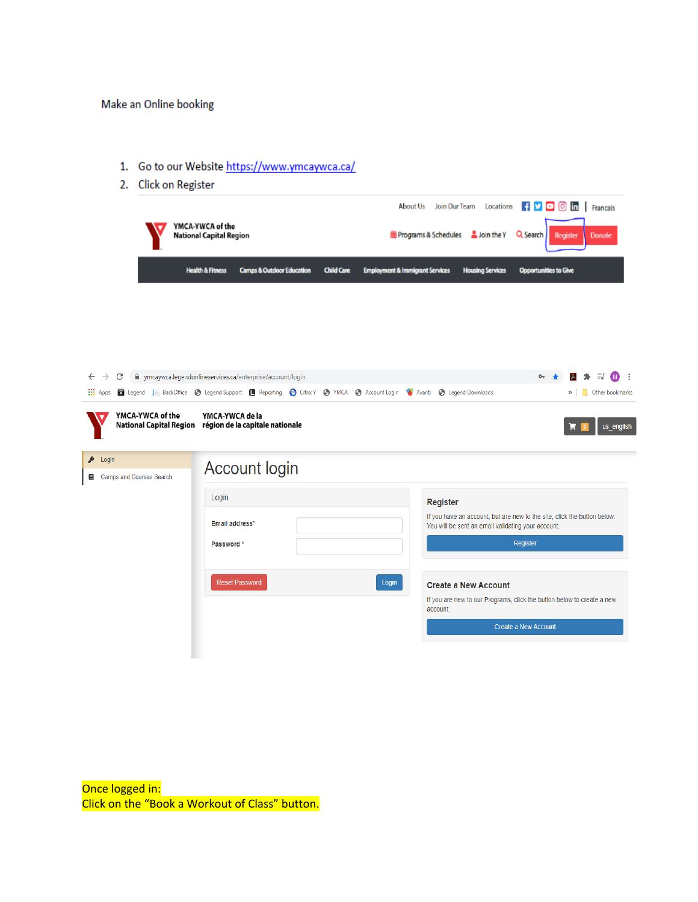## Make an Online booking

- 1. Go to our Website https://www.ymcaywca.ca/
- 2. Click on Register

I

|                                                 | YMCA-YWCA of the<br><b>National Capital Region</b> |                                                                                                                                       |                   |                                            |                 | About Us Join Our Team Locations<br><b>m</b> Programs & Schedules <b>&amp;</b> Join the Y | $\left  \begin{array}{c} \uparrow \end{array} \right $ $\blacksquare$ $\Box$ $\Box$ $\Box$ $\blacksquare$ Francais<br>Q Search<br><b>Register</b> | Donate                   |
|-------------------------------------------------|----------------------------------------------------|---------------------------------------------------------------------------------------------------------------------------------------|-------------------|--------------------------------------------|-----------------|-------------------------------------------------------------------------------------------|---------------------------------------------------------------------------------------------------------------------------------------------------|--------------------------|
|                                                 | <b>Health &amp; Fitness</b>                        | <b>Camps &amp; Outdoor Education</b>                                                                                                  | <b>Child Care</b> | <b>Employment &amp; Immigrant Services</b> |                 | <b>Housing Services</b>                                                                   | <b>Opportunities to Give</b>                                                                                                                      |                          |
|                                                 |                                                    |                                                                                                                                       |                   |                                            |                 |                                                                                           |                                                                                                                                                   |                          |
|                                                 |                                                    |                                                                                                                                       |                   |                                            |                 |                                                                                           |                                                                                                                                                   |                          |
|                                                 |                                                    |                                                                                                                                       |                   |                                            |                 |                                                                                           |                                                                                                                                                   |                          |
| C<br>$\leftarrow$ $\rightarrow$                 |                                                    | m ymcaywca.legendonlineservices.ca/enterprise/account/login                                                                           |                   |                                            |                 |                                                                                           | 0 <sub>T</sub>                                                                                                                                    | ы                        |
| <b>III</b> Apps                                 |                                                    | <b>(c)</b> Legend   BackOffice (c) Legend Support   Reporting (c) Citrix Y (c) YMCA (c) Account Login (c) Avanti (c) Legend Downloads |                   |                                            |                 |                                                                                           | »                                                                                                                                                 | <b>C</b> Other bookmarks |
| YMCA-YWCA of the<br>$\blacktriangleright$ Login | YMCA-YWCA de la                                    | National Capital Region région de la capitale nationale                                                                               |                   |                                            |                 |                                                                                           |                                                                                                                                                   | us_english               |
| <b>国</b> Camps and Courses Search               |                                                    | <b>Account login</b>                                                                                                                  |                   |                                            |                 |                                                                                           |                                                                                                                                                   |                          |
|                                                 | Login                                              |                                                                                                                                       |                   |                                            | <b>Register</b> |                                                                                           |                                                                                                                                                   |                          |
|                                                 |                                                    | Email address*                                                                                                                        |                   |                                            |                 | You will be sent an email validating your account.                                        | If you have an account, but are new to the site, click the button below.                                                                          |                          |
|                                                 | Password*                                          |                                                                                                                                       |                   |                                            |                 |                                                                                           | Register                                                                                                                                          |                          |
|                                                 |                                                    | <b>Reset Password</b>                                                                                                                 |                   | Login                                      |                 | <b>Create a New Account</b>                                                               |                                                                                                                                                   |                          |
|                                                 |                                                    |                                                                                                                                       |                   |                                            | account.        |                                                                                           | If you are new to our Programs, click the button below to create a new                                                                            |                          |
|                                                 |                                                    |                                                                                                                                       |                   |                                            |                 |                                                                                           |                                                                                                                                                   |                          |
|                                                 |                                                    |                                                                                                                                       |                   |                                            |                 |                                                                                           | <b>Create a New Account</b>                                                                                                                       |                          |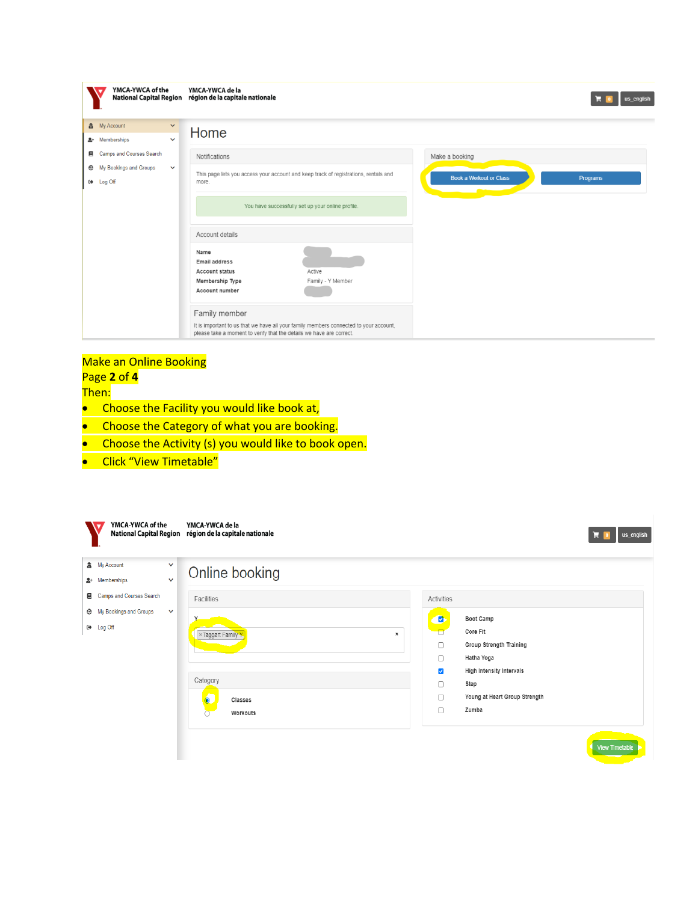| YMCA-YWCA of the                                                                                                                                                                      | YMCA-YWCA de la<br>National Capital Region région de la capitale nationale                                                                                                                                                                                                                                                                                                                                                    | us english                                                          |
|---------------------------------------------------------------------------------------------------------------------------------------------------------------------------------------|-------------------------------------------------------------------------------------------------------------------------------------------------------------------------------------------------------------------------------------------------------------------------------------------------------------------------------------------------------------------------------------------------------------------------------|---------------------------------------------------------------------|
| ▲ My Account<br>$\checkmark$<br>요+ Memberships<br>$\checkmark$<br><b>Camps and Courses Search</b><br>目<br>My Bookings and Groups<br>$\checkmark$<br>⊕<br>Log Off<br>$\leftrightarrow$ | Home<br>Notifications<br>This page lets you access your account and keep track of registrations, rentals and<br>more.<br>You have successfully set up your online profile.<br>Account details<br>Name<br>Email address<br><b>Account status</b><br>Active<br>Family - Y Member<br>Membership Type<br>Account number<br>Family member<br>It is important to us that we have all your family members connected to your account, | Make a booking<br><b>Book a Workout or Class</b><br><b>Programs</b> |
|                                                                                                                                                                                       | please take a moment to verify that the details we have are correct.                                                                                                                                                                                                                                                                                                                                                          |                                                                     |

## Make an Online Booking Page **2** of **4**

Then:

- Choose the Facility you would like book at,
- Choose the Category of what you are booking.
- Choose the Activity (s) you would like to book open.
- **•** Click "View Timetable"